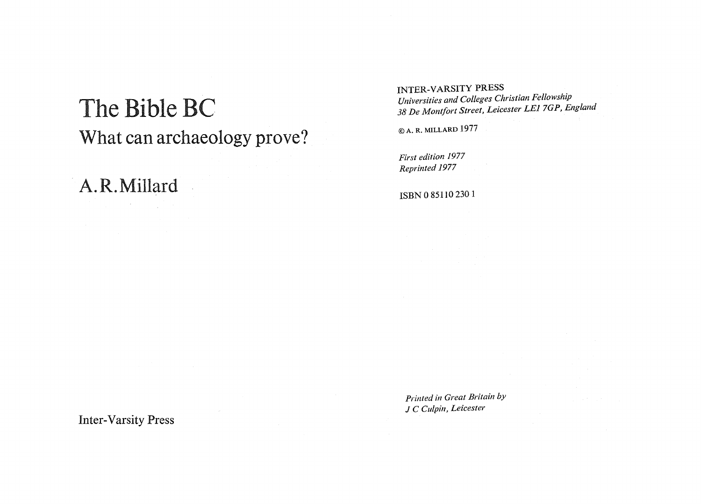## The Bible BC What can archaeology prove?

A.R.Millard

INTER-VARSITY PRESS *Universities and Colleges Christian Fellowship 38 De Montfort Street, Leicester LE1 7GP, England* 

© A. R. MILLARD 1977

*First edition 1977 Reprinted 1977* 

ISBN 0 85110 2301

*Printed in Great Britain by* J C *ClIlpin, Leicester* 

Inter-Varsity Press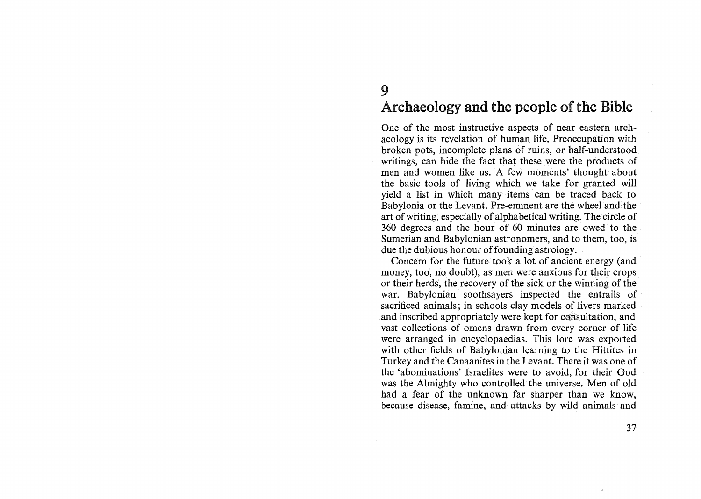## Archaeology and the people of the Bible

One of the most instructive aspects of near eastern archaeology is its revelation of human life. Preoccupation with broken pots, incomplete plans of ruins, or half-understood writings, can hide the fact that these were the products of men and women like us. A few moments' thought about the basic tools of living which we take for granted will yield a list in which many items can be traced back to Babylonia or the Levant. Pre-eminent are the wheel and the art of writing, especially of alphabetical writing. The circle of 360 degrees and the hour of 60 minutes are owed to the Sumerian and Babylonian astronomers, and to them, too, is due the dubious honour of founding astrology.

Concern for the future took a lot of ancient energy (and money, too, no doubt), as men were anxious for their crops or their herds, the recovery of the sick or the winning of the war. Babylonian soothsayers inspected the entrails of sacrificed animals; in schools clay models of livers marked and inscribed appropriately were kept for consultation, and vast collections of omens drawn from every corner of life were arranged in encyclopaedias. This lore was exported with other fields of Babylonian learning to the Hittites in Turkey and the Canaanites in the Levant. There it was one of the 'abominations' Israelites were to avoid, for their God was the Almighty who controlled the universe. Men of old had a fear of the unknown far sharper than we know, because disease, famine, and attacks by wild animals and